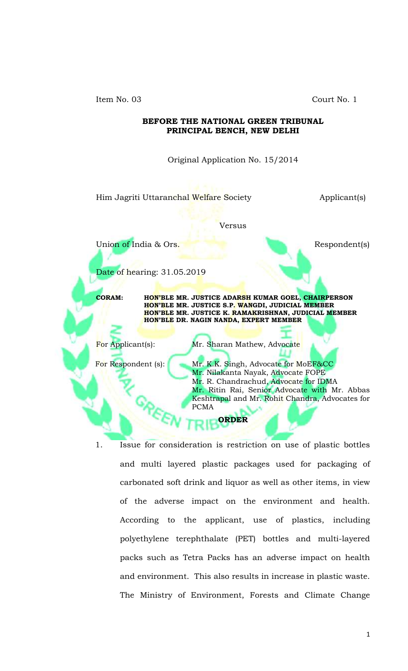Item No. 03 Court No. 1

## **BEFORE THE NATIONAL GREEN TRIBUNAL PRINCIPAL BENCH, NEW DELHI**

Original Application No. 15/2014

Him Jagriti Uttaranchal Welfare Society **Applicant**(s)

## Versus

Union of India & Ors. Respondent(s)

Date of hearing: 31.05.2019

**CORAM: HON'BLE MR. JUSTICE ADARSH KUMAR GOEL, CHAIRPERSON HON'BLE MR. JUSTICE S.P. WANGDI, JUDICIAL MEMBER HON'BLE MR. JUSTICE K. RAMAKRISHNAN, JUDICIAL MEMBER HON'BLE DR. NAGIN NANDA, EXPERT MEMBER**

For Applicant(s): Mr. Sharan Mathew, Advocate

For Respondent (s): Mr. K.K. Singh, Advocate for MoEF&CC Mr. Nilakanta Nayak, Advocate FOPE Mr. R. Chandrachud, Advocate for IDMA Mr. Ritin Rai, Senior Advocate with Mr. Abbas Keshtrapal and Mr. Rohit Chandra, Advocates for PCMA

**ORDER**

1. Issue for consideration is restriction on use of plastic bottles and multi layered plastic packages used for packaging of carbonated soft drink and liquor as well as other items, in view of the adverse impact on the environment and health. According to the applicant, use of plastics, including polyethylene terephthalate (PET) bottles and multi-layered packs such as Tetra Packs has an adverse impact on health and environment. This also results in increase in plastic waste. The Ministry of Environment, Forests and Climate Change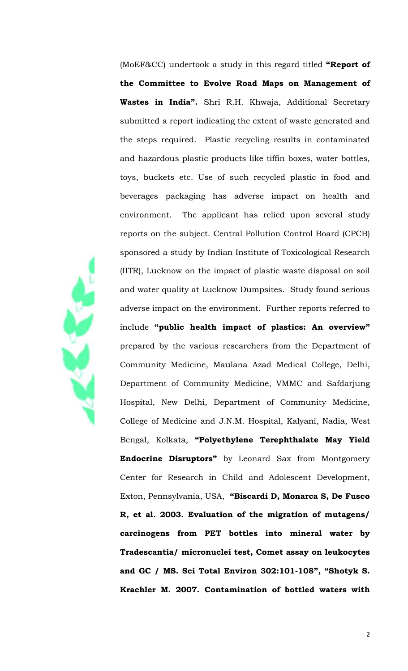(MoEF&CC) undertook a study in this regard titled **"Report of the Committee to Evolve Road Maps on Management of Wastes in India".** Shri R.H. Khwaja, Additional Secretary submitted a report indicating the extent of waste generated and the steps required. Plastic recycling results in contaminated and hazardous plastic products like tiffin boxes, water bottles, toys, buckets etc. Use of such recycled plastic in food and beverages packaging has adverse impact on health and environment. The applicant has relied upon several study reports on the subject. Central Pollution Control Board (CPCB) sponsored a study by Indian Institute of Toxicological Research (IITR), Lucknow on the impact of plastic waste disposal on soil and water quality at Lucknow Dumpsites. Study found serious adverse impact on the environment. Further reports referred to include **"public health impact of plastics: An overview"** prepared by the various researchers from the Department of Community Medicine, Maulana Azad Medical College, Delhi, Department of Community Medicine, VMMC and Safdarjung Hospital, New Delhi, Department of Community Medicine, College of Medicine and J.N.M. Hospital, Kalyani, Nadia, West Bengal, Kolkata, **"Polyethylene Terephthalate May Yield Endocrine Disruptors"** by Leonard Sax from Montgomery Center for Research in Child and Adolescent Development, Exton, Pennsylvania, USA, **"Biscardi D, Monarca S, De Fusco R, et al. 2003. Evaluation of the migration of mutagens/ carcinogens from PET bottles into mineral water by Tradescantia/ micronuclei test, Comet assay on leukocytes and GC / MS. Sci Total Environ 302:101-108", "Shotyk S. Krachler M. 2007. Contamination of bottled waters with**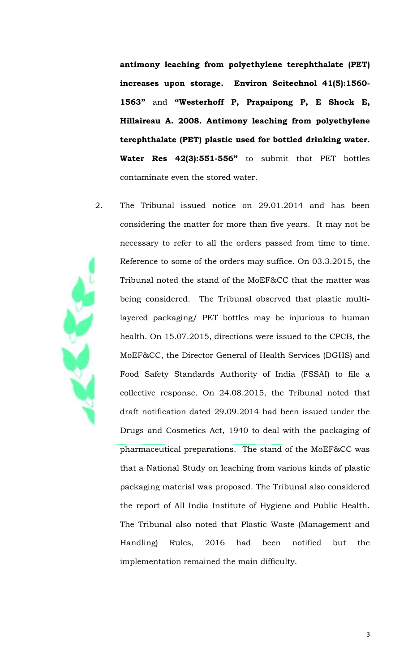**antimony leaching from polyethylene terephthalate (PET) increases upon storage. Environ Scitechnol 41(5):1560- 1563"** and **"Westerhoff P, Prapaipong P, E Shock E, Hillaireau A. 2008. Antimony leaching from polyethylene terephthalate (PET) plastic used for bottled drinking water. Water Res 42(3):551-556"** to submit that PET bottles contaminate even the stored water.

2. The Tribunal issued notice on 29.01.2014 and has been considering the matter for more than five years. It may not be necessary to refer to all the orders passed from time to time. Reference to some of the orders may suffice. On 03.3.2015, the Tribunal noted the stand of the MoEF&CC that the matter was being considered. The Tribunal observed that plastic multilayered packaging/ PET bottles may be injurious to human health. On 15.07.2015, directions were issued to the CPCB, the MoEF&CC, the Director General of Health Services (DGHS) and Food Safety Standards Authority of India (FSSAI) to file a collective response. On 24.08.2015, the Tribunal noted that draft notification dated 29.09.2014 had been issued under the Drugs and Cosmetics Act, 1940 to deal with the packaging of pharmaceutical preparations. The stand of the MoEF&CC was that a National Study on leaching from various kinds of plastic packaging material was proposed. The Tribunal also considered the report of All India Institute of Hygiene and Public Health. The Tribunal also noted that Plastic Waste (Management and Handling) Rules, 2016 had been notified but the implementation remained the main difficulty.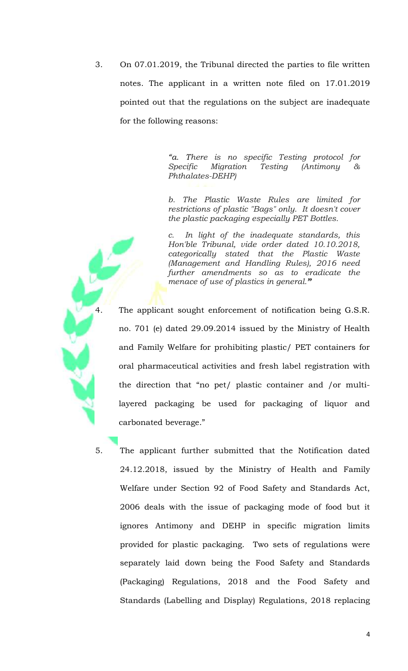3. On 07.01.2019, the Tribunal directed the parties to file written notes. The applicant in a written note filed on 17.01.2019 pointed out that the regulations on the subject are inadequate for the following reasons:

> *"a. There is no specific Testing protocol for Specific Migration Testing (Antimony & Phthalates-DEHP)*

> *b. The Plastic Waste Rules are limited for restrictions of plastic "Bags" only. It doesn't cover the plastic packaging especially PET Bottles.*

> *c. In light of the inadequate standards, this Hon'ble Tribunal, vide order dated 10.10.2018, categorically stated that the Plastic Waste (Management and Handling Rules), 2016 need further amendments so as to eradicate the menace of use of plastics in general."*

The applicant sought enforcement of notification being G.S.R. no. 701 (e) dated 29.09.2014 issued by the Ministry of Health and Family Welfare for prohibiting plastic/ PET containers for oral pharmaceutical activities and fresh label registration with the direction that "no pet/ plastic container and /or multilayered packaging be used for packaging of liquor and carbonated beverage."

5. The applicant further submitted that the Notification dated 24.12.2018, issued by the Ministry of Health and Family Welfare under Section 92 of Food Safety and Standards Act, 2006 deals with the issue of packaging mode of food but it ignores Antimony and DEHP in specific migration limits provided for plastic packaging. Two sets of regulations were separately laid down being the Food Safety and Standards (Packaging) Regulations, 2018 and the Food Safety and Standards (Labelling and Display) Regulations, 2018 replacing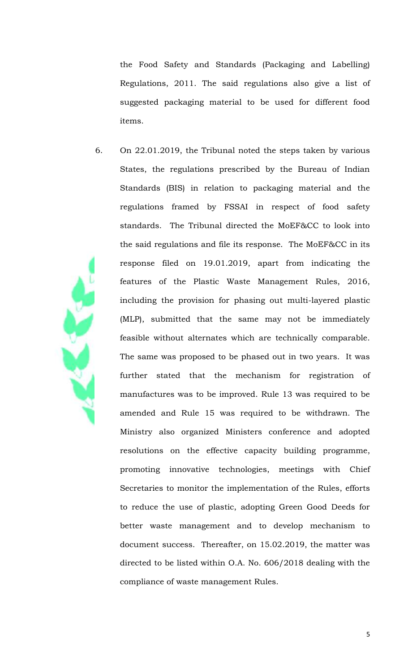the Food Safety and Standards (Packaging and Labelling) Regulations, 2011. The said regulations also give a list of suggested packaging material to be used for different food items.

6. On 22.01.2019, the Tribunal noted the steps taken by various States, the regulations prescribed by the Bureau of Indian Standards (BIS) in relation to packaging material and the regulations framed by FSSAI in respect of food safety standards. The Tribunal directed the MoEF&CC to look into the said regulations and file its response. The MoEF&CC in its response filed on 19.01.2019, apart from indicating the features of the Plastic Waste Management Rules, 2016, including the provision for phasing out multi-layered plastic (MLP), submitted that the same may not be immediately feasible without alternates which are technically comparable. The same was proposed to be phased out in two years. It was further stated that the mechanism for registration of manufactures was to be improved. Rule 13 was required to be amended and Rule 15 was required to be withdrawn. The Ministry also organized Ministers conference and adopted resolutions on the effective capacity building programme, promoting innovative technologies, meetings with Chief Secretaries to monitor the implementation of the Rules, efforts to reduce the use of plastic, adopting Green Good Deeds for better waste management and to develop mechanism to document success. Thereafter, on 15.02.2019, the matter was directed to be listed within O.A. No. 606/2018 dealing with the compliance of waste management Rules.

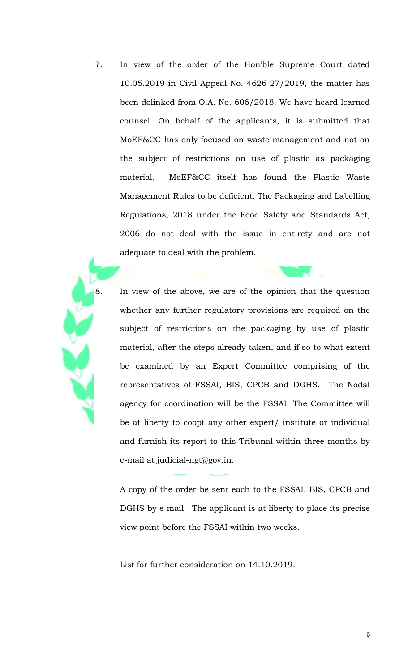7. In view of the order of the Hon'ble Supreme Court dated 10.05.2019 in Civil Appeal No. 4626-27/2019, the matter has been delinked from O.A. No. 606/2018. We have heard learned counsel. On behalf of the applicants, it is submitted that MoEF&CC has only focused on waste management and not on the subject of restrictions on use of plastic as packaging material. MoEF&CC itself has found the Plastic Waste Management Rules to be deficient. The Packaging and Labelling Regulations, 2018 under the Food Safety and Standards Act, 2006 do not deal with the issue in entirety and are not adequate to deal with the problem.

8. In view of the above, we are of the opinion that the question whether any further regulatory provisions are required on the subject of restrictions on the packaging by use of plastic material, after the steps already taken, and if so to what extent be examined by an Expert Committee comprising of the representatives of FSSAI, BIS, CPCB and DGHS. The Nodal agency for coordination will be the FSSAI. The Committee will be at liberty to coopt any other expert/ institute or individual and furnish its report to this Tribunal within three months by e-mail at judicial-ngt@gov.in.

A copy of the order be sent each to the FSSAI, BIS, CPCB and DGHS by e-mail. The applicant is at liberty to place its precise view point before the FSSAI within two weeks.

List for further consideration on 14.10.2019.